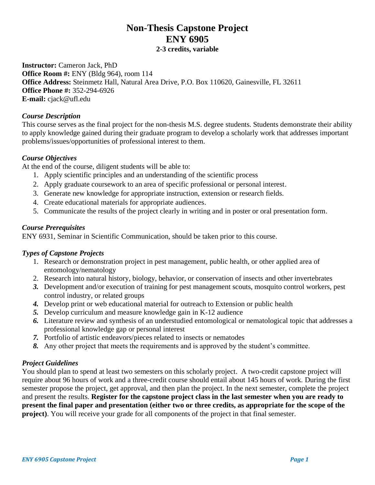# **Non-Thesis Capstone Project ENY 6905**

**2-3 credits, variable**

**Instructor:** Cameron Jack, PhD **Office Room #:** ENY (Bldg 964), room 114 **Office Address:** Steinmetz Hall, Natural Area Drive, P.O. Box 110620, Gainesville, FL 32611 **Office Phone #:** 352-294-6926 **E-mail:** cjack@ufl.edu

#### *Course Description*

This course serves as the final project for the non-thesis M.S. degree students. Students demonstrate their ability to apply knowledge gained during their graduate program to develop a scholarly work that addresses important problems/issues/opportunities of professional interest to them.

## *Course Objectives*

At the end of the course, diligent students will be able to:

- 1. Apply scientific principles and an understanding of the scientific process
- 2. Apply graduate coursework to an area of specific professional or personal interest.
- 3. Generate new knowledge for appropriate instruction, extension or research fields.
- 4. Create educational materials for appropriate audiences.
- 5. Communicate the results of the project clearly in writing and in poster or oral presentation form.

## *Course Prerequisites*

ENY 6931, Seminar in Scientific Communication, should be taken prior to this course.

## *Types of Capstone Projects*

- 1. Research or demonstration project in pest management, public health, or other applied area of entomology/nematology
- 2. Research into natural history, biology, behavior, or conservation of insects and other invertebrates
- *3.* Development and/or execution of training for pest management scouts, mosquito control workers, pest control industry, or related groups
- *4.* Develop print or web educational material for outreach to Extension or public health
- *5.* Develop curriculum and measure knowledge gain in K-12 audience
- *6.* Literature review and synthesis of an understudied entomological or nematological topic that addresses a professional knowledge gap or personal interest
- *7.* Portfolio of artistic endeavors/pieces related to insects or nematodes
- *8.* Any other project that meets the requirements and is approved by the student's committee.

## *Project Guidelines*

You should plan to spend at least two semesters on this scholarly project. A two-credit capstone project will require about 96 hours of work and a three-credit course should entail about 145 hours of work. During the first semester propose the project, get approval, and then plan the project. In the next semester, complete the project and present the results. **Register for the capstone project class in the last semester when you are ready to present the final paper and presentation (either two or three credits, as appropriate for the scope of the project)**. You will receive your grade for all components of the project in that final semester.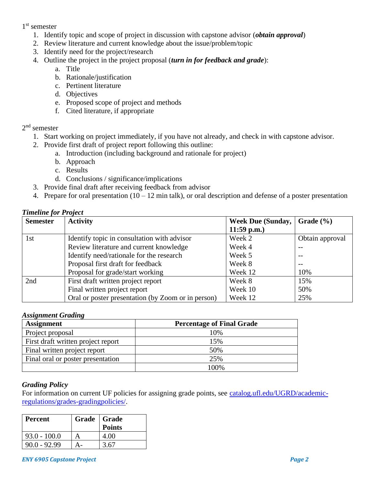1 st semester

- 1. Identify topic and scope of project in discussion with capstone advisor (*obtain approval*)
- 2. Review literature and current knowledge about the issue/problem/topic
- 3. Identify need for the project/research
- 4. Outline the project in the project proposal (*turn in for feedback and grade*):
	- a. Title
	- b. Rationale/justification
	- c. Pertinent literature
	- d. Objectives
	- e. Proposed scope of project and methods
	- f. Cited literature, if appropriate

# 2<sup>nd</sup> semester

- 1. Start working on project immediately, if you have not already, and check in with capstone advisor.
- 2. Provide first draft of project report following this outline:
	- a. Introduction (including background and rationale for project)
	- b. Approach
	- c. Results
	- d. Conclusions / significance/implications
- 3. Provide final draft after receiving feedback from advisor
- 4. Prepare for oral presentation  $(10 12 \text{ min talk})$ , or oral description and defense of a poster presentation

## *Timeline for Project*

| <b>Semester</b> | <b>Activity</b>                                    | Week Due (Sunday, $\vert$ Grade $\vert\%$ ) |                 |
|-----------------|----------------------------------------------------|---------------------------------------------|-----------------|
|                 |                                                    | $11:59$ p.m.)                               |                 |
| 1st             | Identify topic in consultation with advisor        | Week 2                                      | Obtain approval |
|                 | Review literature and current knowledge            | Week 4                                      |                 |
|                 | Identify need/rationale for the research           | Week 5                                      |                 |
|                 | Proposal first draft for feedback                  | Week 8                                      | $ -$            |
|                 | Proposal for grade/start working                   | Week 12                                     | 10%             |
| 2nd             | First draft written project report                 | Week 8                                      | 15%             |
|                 | Final written project report                       | Week 10                                     | 50%             |
|                 | Oral or poster presentation (by Zoom or in person) | Week 12                                     | 25%             |

#### *Assignment Grading*

| <b>Assignment</b>                  | <b>Percentage of Final Grade</b> |  |
|------------------------------------|----------------------------------|--|
| Project proposal                   | 10%                              |  |
| First draft written project report | 15%                              |  |
| Final written project report       | 50%                              |  |
| Final oral or poster presentation  | 25%                              |  |
|                                    | 100%                             |  |

#### *Grading Policy*

For information on current UF policies for assigning grade points, see [catalog.ufl.edu/UGRD/academic](file://///ad.ufl.edu/ifas/ENTNEM/Groups/Ellis/Cameron/Teaching/Courses/Advanced%20Beekeeping/Course%20Development/Syllabi/catalog.ufl.edu/UGRD/academic-regulations/grades-gradingpolicies/)[regulations/grades-gradingpolicies/.](file://///ad.ufl.edu/ifas/ENTNEM/Groups/Ellis/Cameron/Teaching/Courses/Advanced%20Beekeeping/Course%20Development/Syllabi/catalog.ufl.edu/UGRD/academic-regulations/grades-gradingpolicies/)

| <b>Percent</b> | Grade   Grade | <b>Points</b> |
|----------------|---------------|---------------|
| $93.0 - 100.0$ |               | 4.00          |
| $90.0 - 92.99$ |               | 3.67          |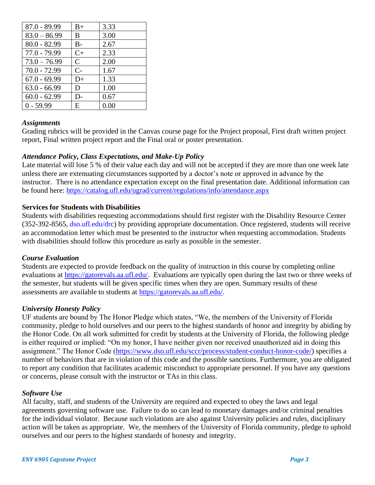| $87.0 - 89.99$ | $B+$         | 3.33 |
|----------------|--------------|------|
| $83.0 - 86.99$ | B.           | 3.00 |
| $80.0 - 82.99$ | $B -$        | 2.67 |
| $77.0 - 79.99$ | $C+$         | 2.33 |
| $73.0 - 76.99$ | $\mathsf{C}$ | 2.00 |
| $70.0 - 72.99$ | $C-$         | 1.67 |
| $67.0 - 69.99$ | D+           | 1.33 |
| $63.0 - 66.99$ | D            | 1.00 |
| $60.0 - 62.99$ | D-           | 0.67 |
| $0 - 59.99$    | E.           | 0.00 |

#### *Assignments*

Grading rubrics will be provided in the Canvas course page for the Project proposal, First draft written project report, Final written project report and the Final oral or poster presentation.

## *Attendance Policy, Class Expectations, and Make-Up Policy*

Late material will lose 5 % of their value each day and will not be accepted if they are more than one week late unless there are extenuating circumstances supported by a doctor's note or approved in advance by the instructor. There is no attendance expectation except on the final presentation date. Additional information can be found here:<https://catalog.ufl.edu/ugrad/current/regulations/info/attendance.aspx>

## **Services for Students with Disabilities**

Students with disabilities requesting accommodations should first register with the Disability Resource Center (352-392-8565, [dso.ufl.edu/drc\)](file://///ad.ufl.edu/ifas/ENTNEM/Groups/Ellis/Cameron/Teaching/Courses/Advanced%20Beekeeping/Course%20Development/Syllabi/dso.ufl.edu/drc) by providing appropriate documentation. Once registered, students will receive an accommodation letter which must be presented to the instructor when requesting accommodation. Students with disabilities should follow this procedure as early as possible in the semester.

## *Course Evaluation*

Students are expected to provide feedback on the quality of instruction in this course by completing online evaluations at [https://gatorevals.aa.ufl.edu/.](https://gatorevals.aa.ufl.edu/) Evaluations are typically open during the last two or three weeks of the semester, but students will be given specific times when they are open. Summary results of these assessments are available to students at [https://gatorevals.aa.ufl.edu/.](https://gatorevals.aa.ufl.edu/)

## *University Honesty Policy*

UF students are bound by The Honor Pledge which states, "We, the members of the University of Florida community, pledge to hold ourselves and our peers to the highest standards of honor and integrity by abiding by the Honor Code. On all work submitted for credit by students at the University of Florida, the following pledge is either required or implied: "On my honor, I have neither given nor received unauthorized aid in doing this assignment." The Honor Code (https://www.dso.ufl.edu/sccr/process/student-conduct-honor-code/) specifies a number of behaviors that are in violation of this code and the possible sanctions. Furthermore, you are obligated to report any condition that facilitates academic misconduct to appropriate personnel. If you have any questions or concerns, please consult with the instructor or TAs in this class.

## *Software Use*

All faculty, staff, and students of the University are required and expected to obey the laws and legal agreements governing software use. Failure to do so can lead to monetary damages and/or criminal penalties for the individual violator. Because such violations are also against University policies and rules, disciplinary action will be taken as appropriate. We, the members of the University of Florida community, pledge to uphold ourselves and our peers to the highest standards of honesty and integrity.